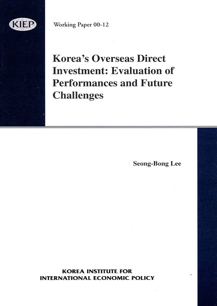

Working Paper 00-12

# **Korea's Overseas Direct Investment: Evaluation of Performances and Future Challenges**

**Seong-Bong Lee** 

**KOREA INSTITUTE FOR INTERNATIONAL ECONOMIC POLICY**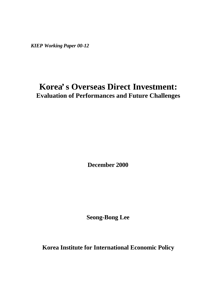*KIEP Working Paper 00-12*

# **Korea's Overseas Direct Investment: Evaluation of Performances and Future Challenges**

**December 2000**

**Seong-Bong Lee**

**Korea Institute for International Economic Policy**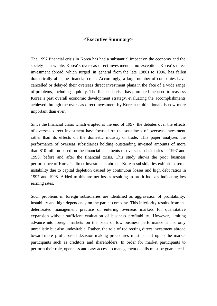#### **<Executive Summary>**

The 1997 financial crisis in Korea has had a substantial impact on the economy and the society as a whole. Korea's overseas direct investment is no exception. Korea's direct investment abroad, which surged in general from the late 1980s to 1996, has fallen dramatically after the financial crisis. Accordingly, a large number of companies have cancelled or delayed their overseas direct investment plans in the face of a wide range of problems, including liquidity. The financial crisis has prompted the need to reassess Korea's past overall economic development strategy; evaluating the accomplishments achieved through the overseas direct investment by Korean multinationals is now more important than ever.

Since the financial crisis which erupted at the end of 1997, the debates over the effects of overseas direct investment have focused on the soundness of overseas investment rather than its effects on the domestic industry or trade. This paper analyzes the performance of overseas subsidiaries holding outstanding invested amounts of more than \$10 million based on the financial statements of overseas subsidiaries in 1997 and 1998, before and after the financial crisis. This study shows the poor business performance of Korea's direct investments abroad. Korean subsidiaries exhibit extreme instability due to capital depletion caused by continuous losses and high debt ratios in 1997 and 1998. Added to this are net losses resulting in profit indexes indicating low earning rates.

Such problems in foreign subsidiaries are identified as aggravation of profitability, instability and high dependency on the parent company. This inferiority results from the deteriorated management practice of entering overseas markets for quantitative expansion without sufficient evaluation of business profitability. However, limiting advance into foreign markets on the basis of low business performance is not only unrealistic but also undesirable. Rather, the role of redirecting direct investment abroad toward more profit-based decision making procedures must be left up to the market participants such as creditors and shareholders. In order for market participants to perform their role, openness and easy access to management details must be guaranteed.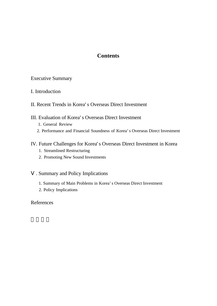# **Contents**

# Executive Summary

# I. Introduction

# II. Recent Trends in Korea's Overseas Direct Investment

III. Evaluation of Korea's Overseas Direct Investment

- 1. General Review
- 2. Performance and Financial Soundness of Korea's Overseas Direct Investment

# IV. Future Challenges for Korea's Overseas Direct Investment in Korea

- 1. Streamlined Restructuring
- 2. Promoting New Sound Investments

# . Summary and Policy Implications

- 1. Summary of Main Problems in Korea's Overseas Direct Investment
- 2. Policy Implications

References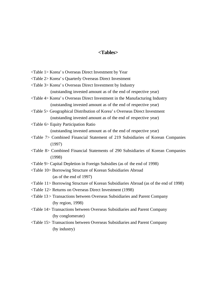#### **<Tables>**

- <Table 1> Korea's Overseas Direct Investment by Year
- <Table 2> Korea's Quarterly Overseas Direct Investment
- <Table 3> Korea's Overseas Direct Investment by Industry (outstanding invested amount as of the end of respective year)
- <Table 4> Korea's Overseas Direct Investment in the Manufacturing Industry (outstanding invested amount as of the end of respective year)
- <Table 5> Geographical Distribution of Korea's Overseas Direct Investment (outstanding invested amount as of the end of respective year)
- <Table 6> Equity Participation Ratio (outstanding invested amount as of the end of respective year)
- <Table 7> Combined Financial Statement of 219 Subsidiaries of Korean Companies (1997)
- <Table 8> Combined Financial Statements of 290 Subsidiaries of Korean Companies (1998)
- <Table 9> Capital Depletion in Foreign Subsidies (as of the end of 1998)
- <Table 10> Borrowing Structure of Korean Subsidiaries Abroad (as of the end of 1997)
- <Table 11> Borrowing Structure of Korean Subsidiaries Abroad (as of the end of 1998)
- <Table 12> Returns on Overseas Direct Investment (1998)
- <Table 13 > Transactions between Overseas Subsidiaries and Parent Company (by region, 1998)
- <Table 14> Transactions between Overseas Subsidiaries and Parent Company (by conglomerate)
- <Table 15> Transactions between Overseas Subsidiaries and Parent Company (by industry)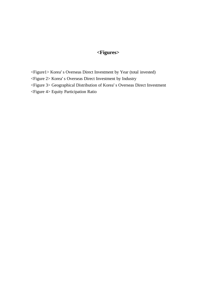# **<Figures>**

- <Figure1> Korea's Overseas Direct Investment by Year (total invested)
- <Figure 2> Korea's Overseas Direct Investment by Industry
- <Figure 3> Geographical Distribution of Korea's Overseas Direct Investment
- <Figure 4> Equity Participation Ratio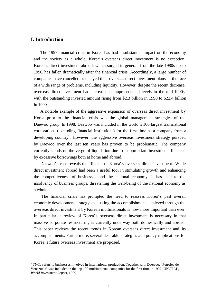#### **I. Introduction**

l

The 1997 financial crisis in Korea has had a substantial impact on the economy and the society as a whole. Korea's overseas direct investment is no exception. Korea's direct investment abroad, which surged in general from the late 1980s up to 1996, has fallen dramatically after the financial crisis. Accordingly, a large number of companies have cancelled or delayed their overseas direct investment plans in the face of a wide range of problems, including liquidity. However, despite the recent decrease, overseas direct investment had increased at unprecedented levels in the mid-1990s, with the outstanding invested amount rising from \$2.3 billion in 1990 to \$22.4 billion in 1999.

A notable example of the aggressive expansion of overseas direct investment by Korea prior to the financial crisis was the global management strategies of the Daewoo group. In 1998, Daewoo was included in the world's 100 largest transnational corporations (excluding financial institutions) for the first time as a company from a developing country<sup>1</sup>. However, the aggressive overseas investment strategy pursued by Daewoo over the last ten years has proven to be problematic. The company currently stands on the verge of liquidation due to inappropriate investments financed by excessive borrowings both at home and abroad.

Daewoo's case reveals the flipside of Korea's overseas direct investment. While direct investment abroad had been a useful tool in stimulating growth and enhancing the competitiveness of businesses and the national economy, it has lead to the insolvency of business groups, threatening the well-being of the national economy as a whole.

 The financial crisis has prompted the need to reassess Korea's past overall economic development strategy; evaluating the accomplishments achieved through the overseas direct investment by Korean multinationals is now more important than ever. In particular, a review of Korea's overseas direct investment is necessary in that massive corporate restructuring is currently underway both domestically and abroad. This paper reviews the recent trends in Korean overseas direct investment and its accomplishments. Furthermore, several desirable strategies and policy implications for Korea's future overseas investment are proposed.

<sup>&</sup>lt;sup>1</sup> TNCs refers to businesses involved in international production. Together with Daewoo, "Petroles de Venezuela" was included in the top 100 multinational companies for the first time in 1997. UNCTAD, *World Investment Report,* 1999.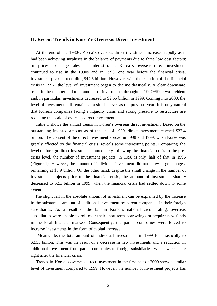#### **II. Recent Trends in Korea's Overseas Direct Investment**

 At the end of the 1980s, Korea's overseas direct investment increased rapidly as it had been achieving surpluses in the balance of payments due to three low cost factors: oil prices, exchange rates and interest rates. Korea's overseas direct investment continued to rise in the 1990s and in 1996, one year before the financial crisis, investment peaked, recording \$4.25 billion. However, with the eruption of the financial crisis in 1997, the level of investment began to decline drastically. A clear downward trend in the number and total amount of investments throughout 1997−1999 was evident and, in particular, investments decreased to \$2.55 billion in 1999. Coming into 2000, the level of investment still remains at a similar level as the previous year. It is only natural that Korean companies facing a liquidity crisis and strong pressure to restructure are reducing the scale of overseas direct investment.

 Table 1 shows the annual trends in Korea's overseas direct investment. Based on the outstanding invested amount as of the end of 1999, direct investment reached \$22.4 billion. The content of the direct investment abroad in 1998 and 1999, when Korea was greatly affected by the financial crisis, reveals some interesting points. Comparing the level of foreign direct investment immediately following the financial crisis to the precrisis level, the number of investment projects in 1998 is only half of that in 1996 (Figure 1). However, the amount of individual investment did not show large changes, remaining at \$3.9 billion. On the other hand, despite the small change in the number of investment projects prior to the financial crisis, the amount of investment sharply decreased to \$2.5 billion in 1999, when the financial crisis had settled down to some extent.

 The slight fall in the absolute amount of investment can be explained by the increase in the substantial amount of additional investment by parent companies in their foreign subsidiaries. As a result of the fall in Korea's national credit rating, overseas subsidiaries were unable to roll over their short-term borrowings or acquire new funds in the local financial markets. Consequently, the parent companies were forced to increase investments in the form of capital increase.

 Meanwhile, the total amount of individual investments in 1999 fell drastically to \$2.55 billion. This was the result of a decrease in new investments and a reduction in additional investment from parent companies to foreign subsidiaries, which were made right after the financial crisis.

 Trends in Korea's overseas direct investment in the first half of 2000 show a similar level of investment compared to 1999. However, the number of investment projects has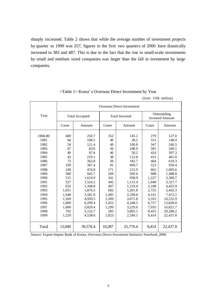sharply increased. Table 2 shows that while the average number of investment projects by quarter in 1999 was 257, figures in the first two quarters of 2000 have drastically increased to 383 and 487. This is due to the fact that the rise in small-scale investments by small and medium sized companies was larger than the fall in investment by large companies.

|         | <b>Overseas Direct Investment</b> |          |        |                       |                                       |          |  |
|---------|-----------------------------------|----------|--------|-----------------------|---------------------------------------|----------|--|
| Year    | <b>Total Accepted</b>             |          |        | <b>Total Invested</b> | Outstanding<br><b>Invested Amount</b> |          |  |
|         | Cases                             | Amount   | Cases  | Amount                | Cases                                 | Amount   |  |
| 1968-80 | 400                               | 250.7    | 352    | 145.2                 | 279                                   | 127.0    |  |
| 1981    | 64                                | 108.5    | 49     | 28.2                  | 315                                   | 148.9    |  |
| 1982    | 54                                | 121.4    | 49     | 100.8                 | 347                                   | 246.5    |  |
| 1983    | 67                                | 83.0     | 56     | 108.9                 | 391                                   | 349.1    |  |
| 1984    | 49                                | 67.4     | 46     | 50.2                  | 424                                   | 397.3    |  |
| 1985    | 43                                | 219.1    | 38     | 112.8                 | 433                                   | 461.0    |  |
| 1986    | 73                                | 363.8    | 50     | 182.7                 | 464                                   | 619.3    |  |
| 1987    | 109                               | 367.4    | 91     | 409.7                 | 523                                   | 939.4    |  |
| 1988    | 249                               | 474.8    | 171    | 215.9                 | 662                                   | 1,095.6  |  |
| 1989    | 368                               | 943.7    | 269    | 569.6                 | 908                                   | 1,488.0  |  |
| 1990    | 515                               | 1,610.9  | 341    | 958.9                 | 1,227                                 | 2,300.7  |  |
| 1991    | 527                               | 1,524.2  | 445    | 1,115.4               | 1,648                                 | 3,327.7  |  |
| 1992    | 632                               | 1,348.8  | 497    | 1,219.4               | 2,108                                 | 4,425.9  |  |
| 1993    | 1,051                             | 1,876.5  | 682    | 1,261.8               | 2,725                                 | 5,442.3  |  |
| 1994    | 1.948                             | 3.581.9  | 1,485  | 2,299.6               | 4,141                                 | 7,472.2  |  |
| 1995    | 1,569                             | 4,950.5  | 1,309  | 3,071.8               | 5,355                                 | 10,232.9 |  |
| 1996    | 1,809                             | 6,290.4  | 1,452  | 4,248.5               | 6,727                                 | 13,828.0 |  |
| 1997    | 1,600                             | 5,829.4  | 1,299  | 3,229.6               | 7,935                                 | 16,821.7 |  |
| 1998    | 702                               | 5,132.7  | 583    | 3,895.1               | 8,455                                 | 20,288.2 |  |
| 1999    | 1,220                             | 4,538.6  | 1,023  | 2,549.1               | 9,414                                 | 22,437.0 |  |
| Total   | 13,049                            | 39,576.4 | 10,287 | 25,770.4              | 9,414                                 | 22,437.0 |  |

| <table 1=""> Korea's Overseas Direct Investment by Year</table> |  |
|-----------------------------------------------------------------|--|
|-----------------------------------------------------------------|--|

(Unit: US\$ million)

Source: Export-Import Bank of Korea*, Overseas Direct Investment Statistics Yearbook,* 2000*.*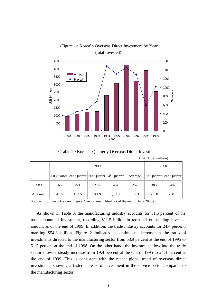

<Figure 1> Korea's Overseas Direct Investment by Year (total invested)

(Unit: US\$ million)

|        |       |                                                                   |       | $\sigma$ - $\sigma$ |         |       |                             |
|--------|-------|-------------------------------------------------------------------|-------|---------------------|---------|-------|-----------------------------|
|        |       |                                                                   |       | 2000                |         |       |                             |
|        |       | 1st Quarter   2nd Quarter   3rd Quarter   4 <sup>th</sup> Quarter |       |                     | Average |       | $1st$ Quarter   2nd Quarter |
| Cases  | 165   | 221                                                               | 276   | 464                 | 257     | 383   | 487                         |
| Amount | 549.5 | 422.5                                                             | 641.9 | 1,196.6             | 637.3   | 669.0 | 700.1                       |

Source: http://www.koreaexim.go.kr/osis/osismain.html (as of the end of June 2000).

 As shown in Table 3, the manufacturing industry accounts for 51.5 percent of the total amount of investment, recording \$11.5 billion in terms of outstanding invested amount as of the end of 1999. In addition, the trade industry accounts for 24.4 percent, marking \$54.8 billion. Figure 2 indicates a continuous decrease in the ratio of investments directed to the manufacturing sector from 58.9 percent at the end of 1995 to 51.5 percent at the end of 1998. On the other hand, the investment flow into the trade sector shows a steady increase from 19.4 percent at the end of 1995 to 24.4 percent at the end of 1999. This is consistent with the recent global trend of overseas direct investments showing a faster increase of investment in the service sector compared to the manufacturing sector.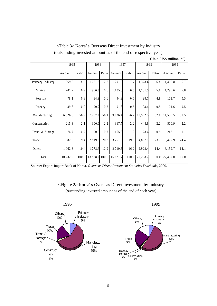<Table 3> Korea's Overseas Direct Investment by Industry (outstanding invested amount as of the end of respective year)

|                  |          |       |                |              |          |       |          |       | (0.01111.0041111011, 70) |       |
|------------------|----------|-------|----------------|--------------|----------|-------|----------|-------|--------------------------|-------|
|                  | 1995     |       |                | 1996<br>1997 |          |       | 1998     |       | 1999                     |       |
|                  | Amount   | Ratio | Amount         | Ratio        | Amount   | Ratio | Amount   | Ratio | Amount                   | Ratio |
| Primary Industry | 869.6    | 8.5   | 1,081.9        | 7.8          | 1,291.0  | 7.7   | 1,378.6  | 6.8   | 1,498.8                  | 6.7   |
| Mining           | 701.7    | 6.9   | 906.8          | 6.6          | 1,105.5  | 6.6   | 1,181.5  | 5.8   | 1,295.6                  | 5.8   |
| Forestry         | 78.1     | 0.8   | 84.9           | 0.6          | 94.3     | 0.6   | 98.7     | 4.9   | 101.7                    | 0.5   |
| Fishery          | 89.8     | 0.9   | 90.2           | 0.7          | 91.3     | 0.5   | 98.4     | 0.5   | 101.6                    | 0.5   |
| Manufacturing    | 6,026.0  | 58.9  | 7,757.1        | 56.1         | 9,026.4  | 56.7  | 10,552.3 | 52.0  | 11,556.5                 | 51.5  |
| Construction     | 215.3    | 2.1   | 300.0          | 2.2          | 367.7    | 2.2   | 448.8    | 2.2   | 500.9                    | 2.2   |
| Trans. & Storage | 76.7     | 0.7   | 90.9           | 0.7          | 165.3    | 1.0   | 178.4    | 0.9   | 243.1                    | 1.1   |
| Trade            | 1,982.9  | 19.4  | 2,819.9        | 20.3         | 3,251.8  | 19.3  | 4,807.7  | 23.7  | 5,477.9                  | 24.4  |
| Others           | 1,062.3  | 10.4  | 1,778.3        | 12.9         | 2,719.6  | 16.2  | 2,922.4  | 14.4  | 3,159.7                  | 14.1  |
| Total            | 10,232.9 | 100.0 | 13,828.0 100.0 |              | 16,821.7 | 100.0 | 20,288.2 | 100.0 | 22,437.0                 | 100.0 |

(Unit: US\$ million, %)

Manufacturing

7%

Source: Export-Import Bank of Korea*, Overseas Direct Investment Statistics Yearbook* , 2000.



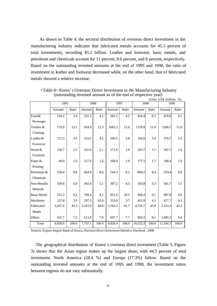As shown in Table 4, the sectoral distribution of overseas direct investment in the manufacturing industry indicates that fabricated metals accounts for 45.3 percent of total investments, recording \$5.2 billion. Leather and footwear, basic metals, and petroleum and chemicals account for 11 percent, 8.6 percent, and 8 percent, respectively. Based on the outstanding invested amounts at the end of 1995 and 1998, the ratio of investment in leather and footwear decreased while, on the other hand, that of fabricated metals showed a relative increase.

|                     | 1995    |       |         | 1996  |         | 1997  | 1998     |       | $\overline{O}$ ( $\overline{O}$ ) $\overline{O}$ $\overline{O}$ ( $\overline{O}$ ) $\overline{O}$<br>1999 |       |
|---------------------|---------|-------|---------|-------|---------|-------|----------|-------|-----------------------------------------------------------------------------------------------------------|-------|
|                     | Amount  | Ratio | Amount  | Ratio | Amount  | Ratio | Amount   | Ratio | Amount                                                                                                    | Ratio |
| Food &              | 234.2   | 3.9   | 351.5   | 4.5   | 381.1   | 4.2   | 416.4    | 0.2   | 470.0                                                                                                     | 4.1   |
| <b>Beverages</b>    |         |       |         |       |         |       |          |       |                                                                                                           |       |
| Textiles &          | 733.9   | 12.1  | 954.9   | 12.3  | 1081.2  | 12.0  | 1159.8   | 11.0  | 1266.7                                                                                                    | 11.0  |
| Clothing            |         |       |         |       |         |       |          |       |                                                                                                           |       |
| Leather &           | 272.5   | 4.5   | 323.2   | 4.2   | 346.5   | 3.8   | 356.6    | 3.4   | 376.7                                                                                                     | 3.3   |
| Footwear            |         |       |         |       |         |       |          |       |                                                                                                           |       |
| Wood &              | 150.7   | 2.5   | 161.0   | 2.1   | 171.6   | 1.9   | 183.7    | 1.7   | 187.1                                                                                                     | 1.6   |
| Furniture           |         |       |         |       |         |       |          |       |                                                                                                           |       |
| Paper &             | 69.0    | 1.6   | 127.6   | 1.6   | 168.9   | 1.9   | 177.5    | 1.7   | 180.4                                                                                                     | 1.6   |
| Printing            |         |       |         |       |         |       |          |       |                                                                                                           |       |
| Petroleum &         | 530.4   | 8.8   | 664.9   | 8.6   | 744.3   | 8.2   | 884.5    | 8.4   | 919.4                                                                                                     | 8.0   |
| Chemicals           |         |       |         |       |         |       |          |       |                                                                                                           |       |
| Non-Metallic        | 359.6   | 6.0   | 392.4   | 5.1   | 387.2   | 4.3   | 343.8    | 3.3   | 361.7                                                                                                     | 3.1   |
| Minerals            |         |       |         |       |         |       |          |       |                                                                                                           |       |
| <b>Basic Metals</b> | 551.5   | 9.2   | 709.4   | 9.2   | 951.6   | 10.5  | 968.2    | 9.1   | 997.8                                                                                                     | 8.6   |
| Machinery           | 237.8   | 3.9   | 297.3   | 43.0  | 333.0   | 3.7   | 455.9    | 4.3   | 477.7                                                                                                     | 4.1   |
| Fabricated          | 2,427.6 | 40.3  | 3,163.0 | 40.8  | 3,763.2 | 41.7  | 4,755.7  | 45.0  | 5,233.3                                                                                                   | 45.3  |
| Metals              |         |       |         |       |         |       |          |       |                                                                                                           |       |
| Others              | 431.7   | 7.2   | 611.8   | 7.9   | 697.7   | 7.7   | 850.3    | 8.1   | 1,085.5                                                                                                   | 9.4   |
| Total               | 6,026.0 | 100.0 | 7,757.1 | 100.0 | 9,026.4 | 100.0 | 10,552.3 | 100.0 | 11,556.5                                                                                                  | 100.0 |

<Table 4> Korea's Overseas Direct Investment in the Manufacturing Industry (outstanding invested amount as of the end of respective year)  $(IInit: IIS$ million %)$ 

Source: Export-Import Bank of Korea, *Overseas Direct Investment Statistics Yearbook* , 2000.

 The geographical distribution of Korea's overseas direct investment (Table 5, Figure 3) shows that the Asian region makes up the largest share, with 44.5 percent of total investment. North America (28.4 %) and Europe (17.3%) follow. Based on the outstanding invested amounts at the end of 1995 and 1998, the investment ratios between regions do not vary substantially.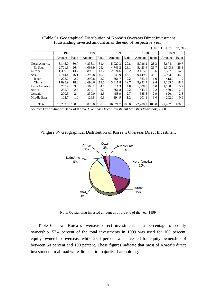|               |          |       |          |       |          |       |          |       | (Unit: US\$ million, $\%$ ) |       |
|---------------|----------|-------|----------|-------|----------|-------|----------|-------|-----------------------------|-------|
|               | 1995     |       | 1996     |       | 1997     |       | 1998     |       | 1999                        |       |
|               | Amount   | Ratio | Amount   | Ratio | Amount   | Ratio | Amount   | Ratio | Amount                      | Ratio |
| North America | 3.145.9  | 30.7  | 4,338.1  | 31.4  | 5,020.3  | 29.8  | 5,736.2  | 28.3  | 6.674.4                     | 29.7  |
| U. S.A.       | 2,701.3  | 26.4  | 4.068.9  | 29.4  | 4.741.2  | 28.1  | 5,423.4  | 26.7  | 6,343.3                     | 28.3  |
| Europe        | 1,399.9  | 13.7  | 1,893.1  | 13.7  | 2,224.6  | 13.2  | 3,165.8  | 15.6  | 3,327.3                     | 14.8  |
| Asia          | 4,714.4  | 46.1  | 6,290.8  | 45.5  | 7,749.9  | 46.1  | 9,149.0  | 45.1  | 9.983.9                     | 44.5  |
| Japan         | 228.2    | 2.2   | 299.8    | 2.2   | 361.7    | 2.2   | 383.5    | 1.9   | 418.7                       | 1.9   |
| China         | 1,898.9  | 18.6  | 2,698.6  | 19.5  | 3,311.8  | 19.7  | 3.931.7  | 19.4  | 4,135.5                     | 18.4  |
| Latin America | 265.9    | 3.3   | 566.1    | 4.1   | 811.3    | 4.8   | 1,008.8  | 5.0   | 1,168.3                     | 5.2   |
| Africa        | 265.9    | 2.6   | 274.1    | 2.0   | 361.8    | 2.2   | 443.5    | 2.2   | 460.7                       | 2.0   |
| Oceania       | 270.5    | 2.4   | 339.0    | 2.5   | 458.9    | 2.7   | 585.8    | 2.9   | 620.4                       | 2.8   |
| Middle East   | 102.7    | 1.0   | 126.8    | 0.9   | 194.9    | 1.2   | 201.1    | 1.0   | 202.0                       | 0.9   |
| Total         | 10.232.8 | 100.0 | 13,828.0 | 100.0 | 16.821.7 | 100.0 | 22.288.2 | 100.0 | 22,437.0                    | 100.0 |

<Table 5> Geographical Distribution of Korea's Overseas Direct Investment (outstanding invested amount as of the end of respective year)

Source: Export-Import Bank of Korea, *Overseas Direct Investment Statistics Yearbook* , 2000 .

#### <Figure 3> Geographical Distribution of Korea's Overseas Direct Investment



Note: Outstanding invested amount as of the end of the year 1999.

 Table 6 shows Korea's overseas direct investment as a percentage of equity ownership. 57.4 percent of the total investments in 1999 was used for 100 percent equity ownership overseas, while 25.4 percent was invested for equity ownership of between 50 percent and 100 percent. These figures indicate that most of Korea's direct investments in abroad were directed to majority shareholding.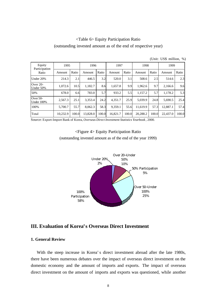# <Table 6> Equity Participation Ratio (outstanding invested amount as of the end of respective year)

| Equity<br>Participation         | 1995     |       | 1996     |       | 1997     |       | 1998     |       | 1999     |       |
|---------------------------------|----------|-------|----------|-------|----------|-------|----------|-------|----------|-------|
| Ratio                           | Amount   | Ratio | Amount   | Ratio | Amount   | Ratio | Amount   | Ratio | Amount   | Ratio |
| Under 20%                       | 214.3    | 2.1   | 446.5    | 3.2   | 520.0    | 3.1   | 508.6    | 2.5   | 514.6    | 2.3   |
| Over 20-<br>Under 50%           | 1.072.6  | 10.5  | 1.182.7  | 8.6   | 1.657.8  | 9.9   | 1.962.6  | 9.7   | 2,166.6  | 9.6   |
| 50%                             | 678.0    | 6.6   | 783.0    | 5.7   | 933.2    | 5.5   | 1,157.2  | 5.7   | 1.178.2  | 5.3   |
| Over $50-$<br><b>Under 100%</b> | 2.567.3  | 25.1  | 3.353.4  | 24.2  | 4.351.7  | 25.9  | 5.039.9  | 24.8  | 5.690.5  | 25.4  |
| 100%                            | 5.700.7  | 55.7  | 8.062.3  | 58.3  | 9.359.1  | 55.6  | 11.619.9 | 57.3  | 12.887.1 | 57.4  |
| Total                           | 10.232.9 | 100.0 | 13,828.0 | 100.0 | 16,821.7 | 100.0 | 20.288.2 | 100.0 | 22,437.0 | 100.0 |

(Unit: US\$ million, %)

Source: Export-Import Bank of Korea, *Overseas Direct Investment Statistics Yearbook* , 2000.

<Figure 4> Equity Participation Ratio (outstanding invested amount as of the end of the year 1999)



### **III. Evaluation of Korea's Overseas Direct Investment**

#### **1. General Review**

 With the steep increase in Korea's direct investment abroad after the late 1980s, there have been numerous debates over the impact of overseas direct investment on the domestic economy and the amount of imports and exports. The impact of overseas direct investment on the amount of imports and exports was questioned, while another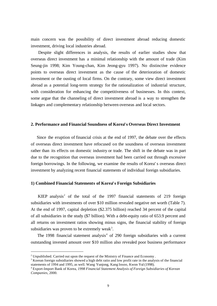main concern was the possibility of direct investment abroad reducing domestic investment, driving local industries abroad.

 Despite slight differences in analysis, the results of earlier studies show that overseas direct investment has a minimal relationship with the amount of trade (Kim Seung-jin 1998; Kim Young-chan, Kim Jeong-gyu 1997). No distinctive evidence points to overseas direct investment as the cause of the deterioration of domestic investment or the ousting of local firms. On the contrary, some view direct investment abroad as a potential long-term strategy for the rationalization of industrial structure, with consideration for enhancing the competitiveness of businesses. In this context, some argue that the channeling of direct investment abroad is a way to strengthen the linkages and complementary relationship between overseas and local sectors.

#### **2. Performance and Financial Soundness of Korea's Overseas Direct Investment**

 Since the eruption of financial crisis at the end of 1997, the debate over the effects of overseas direct investment have refocused on the soundness of overseas investment rather than its effects on domestic industry or trade. The shift in the debate was in part due to the recognition that overseas investment had been carried out through excessive foreign borrowings. In the following, we examine the results of Korea's overseas direct investment by analyzing recent financial statements of individual foreign subsidiaries.

#### **1) Combined Financial Statements of Korea's Foreign Subsidiaries**

KIEP analysis<sup>2</sup> of the total of the 1997 financial statements of 219 foreign subsidiaries with investments of over \$10 million revealed negative net worth (Table 7). At the end of 1997, capital depletion (\$2.375 billion) reached 34 percent of the capital of all subsidiaries in the study (\$7 billion). With a debt-equity ratio of 653.9 percent and all returns on investment ratios showing minus signs, the financial stability of foreign subsidiaries was proven to be extremely weak<sup>3</sup>.

The 1998 financial statement analysis<sup>4</sup> of 290 foreign subsidiaries with a current outstanding invested amount over \$10 million also revealed poor business performance

l

<sup>&</sup>lt;sup>2</sup> Unpublished. Carried out upon the request of the Ministry of Finance and Economy.

<sup>&</sup>lt;sup>3</sup> Korean foreign subsidiaries showed a high debt ratio and low profit rate in the analysis of the financial statements of 1994 and 1995, as well. Wang Yunjong, Kang Insoo, Kwon Yul (1998).

<sup>4</sup> Export-Import Bank of Korea, *1998 Financial Statement Analysis of Foreign Subsidiaries of Korean Companies*, 2000.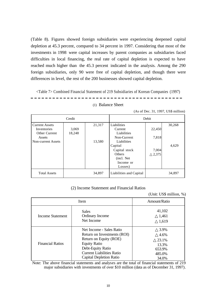(Table 8). Figures showed foreign subsidiaries were experiencing deepened capital depletion at 45.3 percent, compared to 34 percent in 1997. Considering that most of the investments in 1998 were capital increases by parent companies as subsidiaries faced difficulties in local financing, the real rate of capital depletion is expected to have reached much higher than the 45.3 percent indicated in the analysis. Among the 290 foreign subsidiaries, only 90 were free of capital depletion, and though there were differences in level, the rest of the 200 businesses showed capital depletion.

<Table 7> Combined Financial Statement of 219 Subsidiaries of Korean Companies (1997)

|                                                                 |                 |        |                                                                                                 |                 | $(113 \text{ of } 1000, 91, 1997)$ , $0.99$ minimum |  |
|-----------------------------------------------------------------|-----------------|--------|-------------------------------------------------------------------------------------------------|-----------------|-----------------------------------------------------|--|
|                                                                 | Credit          |        | Debit                                                                                           |                 |                                                     |  |
| <b>Current Assets</b><br>Inventories<br>Other Current<br>Assets | 3,069<br>18,248 | 21,317 | Liabilities<br>Current<br>Liabilities<br>Non-Current                                            | 22,450<br>7,818 | 30,268                                              |  |
| <b>Non-current Assets</b>                                       |                 | 13,580 | Liabilities<br>Capital<br>Capital stock<br><b>Others</b><br>(incl. Net)<br>Income or<br>Losses) | 7,004<br>2,375  | 4,629                                               |  |
| <b>Total Assets</b>                                             |                 | 34,897 | Liabilities and Capital                                                                         |                 | 34,897                                              |  |

|  |  |  | (1) Balance Sheet |
|--|--|--|-------------------|
|--|--|--|-------------------|

 $(As$  of Dec. 31, 1997, US\$ million)

#### (2) Income Statement and Financial Ratios

(Unit: US\$ million, %)

|                         | <b>Item</b>                                                                                                                                                                                  | Amount/Ratio                                                |
|-------------------------|----------------------------------------------------------------------------------------------------------------------------------------------------------------------------------------------|-------------------------------------------------------------|
| Income Statement        | <b>Sales</b><br><b>Ordinary Income</b><br>Net Income                                                                                                                                         | 41,102<br>1,461<br>1,619                                    |
| <b>Financial Ratios</b> | Net Income - Sales Ratio<br>Return on Investments (ROI)<br>Return on Equity (ROE)<br><b>Equity Ratio</b><br>Debt-Equity Ratio<br><b>Current Liabilities Ratio</b><br>Capital Depletion Ratio | 3.9%<br>4.6%<br>23.1%<br>13.3%<br>653.9%<br>485.0%<br>34.0% |

 Note: The above financial statements and analyses are the total of financial statements of 219 major subsidiaries with investments of over \$10 million (data as of December 31, 1997).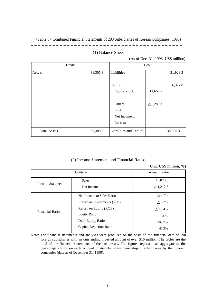#### <Table 8> Combined Financial Statements of 290 Subsidiaries of Korean Companies (1998)

|                     | Credit   | Debit                   |          |  |  |  |
|---------------------|----------|-------------------------|----------|--|--|--|
| Assets              | 38,305.3 | Liabilities             | 31,928.3 |  |  |  |
|                     |          | Capital                 | 6,377.0  |  |  |  |
|                     |          | Capital stock           | 11,657.2 |  |  |  |
|                     |          |                         |          |  |  |  |
|                     |          | Others                  | 5,280.3  |  |  |  |
|                     |          | (incl.                  |          |  |  |  |
|                     |          | Net Income or           |          |  |  |  |
|                     |          | Losses)                 |          |  |  |  |
| <b>Total Assets</b> | 38,305.3 | Liabilities and Capital | 38,305.3 |  |  |  |

#### (1) Balance Sheet

(As of Dec. 31, 1998, US\$ million)

#### (2) Income Statement and Financial Ratios

(Unit: US\$ million, %)

| $\sqrt{2}$ . $\frac{1}{2}$ . $\frac{1}{2}$ . $\frac{1}{2}$ . $\frac{1}{2}$ . $\frac{1}{2}$ . $\frac{1}{2}$ . $\frac{1}{2}$ . $\frac{1}{2}$ . $\frac{1}{2}$ . $\frac{1}{2}$ . $\frac{1}{2}$ . $\frac{1}{2}$ . $\frac{1}{2}$ . $\frac{1}{2}$ . $\frac{1}{2}$ . $\frac{1}{2}$ . $\frac{1}{2}$ . $\frac{1}{2}$ . $\frac{1}{2}$ . $\frac$ |                             |          |  |  |  |  |
|--------------------------------------------------------------------------------------------------------------------------------------------------------------------------------------------------------------------------------------------------------------------------------------------------------------------------------------|-----------------------------|----------|--|--|--|--|
|                                                                                                                                                                                                                                                                                                                                      | <b>Amount Ratio</b>         |          |  |  |  |  |
| <b>Income Statement</b>                                                                                                                                                                                                                                                                                                              | <b>Sales</b>                | 45,070.0 |  |  |  |  |
|                                                                                                                                                                                                                                                                                                                                      | Net Income                  | 1,212.7  |  |  |  |  |
|                                                                                                                                                                                                                                                                                                                                      | Net Income to Sales Ratio   | 2.7%     |  |  |  |  |
|                                                                                                                                                                                                                                                                                                                                      | Return on Investments (ROI) | 3.2%     |  |  |  |  |
| <b>Financial Ratios</b>                                                                                                                                                                                                                                                                                                              | Return on Equity (ROE)      | 10.4%    |  |  |  |  |
|                                                                                                                                                                                                                                                                                                                                      | <b>Equity Ratio</b>         | 16.6%    |  |  |  |  |
|                                                                                                                                                                                                                                                                                                                                      | Debt-Equity Ratio           | 500.7%   |  |  |  |  |
|                                                                                                                                                                                                                                                                                                                                      | Capital Depletion Ratio     | 45.3%    |  |  |  |  |

Note: The financial statements and analyses were produced on the basis of the financial data of 290 foreign subsidiaries with an outstanding invested amount of over \$10 million. The tables are the total of the financial statements of the businesses. The figures represent an aggregate of the percentage claims on each account or item by share ownership of subsidiaries by their parent companies (data as of December 31, 1998).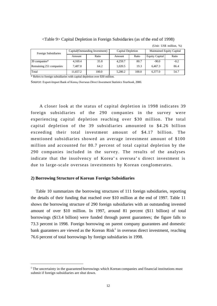| Foreign Subsidiaries    |          | Capital (Outstanding Investment) | Capital Depletion |       | Maintained Equity Capital |        |  |
|-------------------------|----------|----------------------------------|-------------------|-------|---------------------------|--------|--|
|                         | Amount   | Ratio                            | Amount            | Ratio | <b>Equity Capital</b>     | Ratio  |  |
| 39 companies*           | 4.169.4  | 35.8                             | 4.259.7           | 80.7  | $-90.0$                   | $-0.2$ |  |
| Remaining 251 companies | 7.487.8  | 64.2                             | 1,020.5           | 19.3  | 6.467.3                   | 86.4   |  |
| Total                   | 11,657.2 | 100.0                            | 5,280.2           | 100.0 | 6.377.0                   | 54.7   |  |

<Table 9> Capital Depletion in Foreign Subsidiaries (as of the end of 1998)

(Unit: US\$ million, %)

\* Refers to foreign subsidiaries with capital depletion over \$30 million.

Source: Export-Import Bank of Korea*, Overseas Direct Investment Statistics Yearbook*, 2000.

 A closer look at the status of capital depletion in 1998 indicates 39 foreign subsidiaries of the 290 companies in the survey were experiencing capital depletion reaching over \$30 million. The total capital depletion of the 39 subsidiaries amounted to \$4.26 billion exceeding their total investment amount of \$4.17 billion. The mentioned subsidiaries showed an average investment amount of \$100 million and accounted for 80.7 percent of total capital depletion by the 290 companies included in the survey. The results of the analyses indicate that the insolvency of Korea's oversea's direct investment is due to large-scale overseas investments by Korean conglomerates.

#### **2) Borrowing Structure of Korean Foreign Subsidiaries**

l

 Table 10 summarizes the borrowing structures of 111 foreign subsidiaries, reporting the details of their funding that reached over \$10 million at the end of 1997. Table 11 shows the borrowing structure of 290 foreign subsidiaries with an outstanding invested amount of over \$10 million. In 1997, around 81 percent (\$11 billion) of total borrowings (\$13.4 billion) were funded through parent guarantees; the figure falls to 73.3 percent in 1998. Foreign borrowing on parent company guarantees and domestic bank guarantees are viewed as the Korean  $Risk^5$  in overseas direct investment, reaching 76.6 percent of total borrowings by foreign subsidiaries in 1998.

 $<sup>5</sup>$  The uncertainty in the guaranteed borrowings which Korean companies and financial institutions must</sup> submit if foreign subsidiaries are shut down.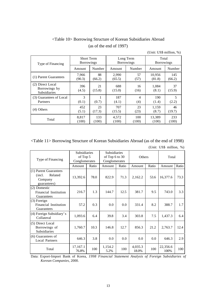| <table 10=""> Borrowing Structure of Korean Subsidiaries Abroad</table> |  |
|-------------------------------------------------------------------------|--|
| (as of the end of 1997)                                                 |  |

| Type of Financing                                        | <b>Short Term</b><br><b>Borrowings</b> |              |               | Long Term<br><b>Borrowings</b> | Total<br><b>Borrowings</b> |              |  |  |
|----------------------------------------------------------|----------------------------------------|--------------|---------------|--------------------------------|----------------------------|--------------|--|--|
|                                                          | Amount                                 | Number       | Amount        | Number                         | Amount                     | Number       |  |  |
| (1) Parent Guarantees                                    | 7,966                                  | 88           | 2,990         | 57                             | 10,956                     | 145          |  |  |
|                                                          | (90.3)                                 | (66.2)       | (65.5)        | (57)                           | (81.8)                     | (66.2)       |  |  |
| (2) Direct Local<br>Borrowings by<br><b>Subsidiaries</b> | 396<br>(4.5)                           | 21<br>(15.8) | 688<br>(15.0) | 16<br>(16)                     | 1,084<br>(8.1)             | 37<br>(15.9) |  |  |
| (3) Guarantees of Local                                  | 3                                      | (0.7)        | 187           | 4                              | 190                        | 5            |  |  |
| Partners                                                 | (0.1)                                  |              | (4.1)         | (4)                            | (1.4)                      | (2.2)        |  |  |
| $(4)$ Others                                             | 452                                    | 23           | 707           | 23                             | 1,159                      | 46           |  |  |
|                                                          | (5.1)                                  | (17.3)       | (15.5)        | (23)                           | (8.7)                      | (19.7)       |  |  |
| Total                                                    | 8,817                                  | 133          | 4,572         | 100                            | 13,389                     | 233          |  |  |
|                                                          | (100)                                  | (100)        | (100)         | (100)                          | (100)                      | (100)        |  |  |

(Unit: US\$ million, %)

<Table 11> Borrowing Structure of Korean Subsidiaries Abroad (as of the end of 1998) (Unit: US\$ million, %)

| Type of Financing                                                    | <b>Subsidiaries</b><br>of Top 5<br>Conglomerates |       | <b>Subsidiaries</b><br>of Top 6 to 30<br>Conglomerates |       | Others           |       | Total            |       |
|----------------------------------------------------------------------|--------------------------------------------------|-------|--------------------------------------------------------|-------|------------------|-------|------------------|-------|
|                                                                      | Amount                                           | Ratio | Amount                                                 | Ratio | Amount           | Ratio | Amount           | Ratio |
| (1) Parent Guarantees<br>Related<br>(incl.<br>Company<br>guarantees) | 13,392.6                                         | 78.0  | 822.9                                                  | 71.3  | 2,162.2          | 53.6  | 16,377.6         | 73.3  |
| (2) Domestic<br>Financial Institution<br>Guarantees                  | 216.7                                            | 1.3   | 144.7                                                  | 12.5  | 381.7            | 9.5   | 743.0            | 3.3   |
| $(3)$ Foreign<br>Financial Institution<br>Guarantees                 | 57.2                                             | 0.3   | 0.0                                                    | 0.0   | 331.4            | 8.2   | 388.7            | 1.7   |
| (4) Foreign Subsidiary's<br>Collateral                               | 1,093.6                                          | 6.4   | 39.8                                                   | 3.4   | 303.8            | 7.5   | 1,437.3          | 6.4   |
| (5) Direct Local<br>Borrowings of<br><b>Subsidiaries</b>             | 1,760.7                                          | 10.3  | 146.8                                                  | 12.7  | 856.3            | 21.2  | 2,763.7          | 12.4  |
| (6) Guarantees of<br><b>Local Partners</b>                           | 646.3                                            | 3.8   | 0.0                                                    | 0.0   | 0.0              | 0.0   | 646.3            | 2.9   |
| Total                                                                | 17,167.1<br>76.8%                                | 100   | 1,154.2<br>5.2%                                        | 100   | 4,035.3<br>18.0% | 100   | 22,356.6<br>100% | 100   |

Data: Export-Import Bank of Korea, *1998 Financial Statement Analysis of Foreign Subsidiaries of Korean Companies,* 2000.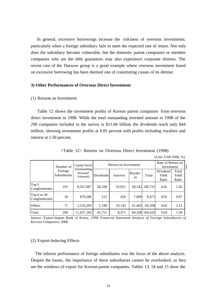In general, excessive borrowings increase the riskiness of overseas investments, particularly when a foreign subsidiary fails to meet the expected rate of return. Not only does the subsidiary become vulnerable, but the domestic parent companies or member companies who are the debt guarantors may also experience corporate distress. The recent case of the Daewoo group is a good example where overseas investment based on excessive borrowing has been deemed one of constituting causes of its demise.

#### **3) Other Performances of Overseas Direct Investment**

#### (1) Returns on Investment

 Table 12 shows the investment profits of Korean parent companies from overseas direct investment in 1998. While the total outstanding invested amount in 1998 of the 290 companies included in the survey is \$11.66 billion, the dividends reach only \$44 million, showing investment profits at 0.05 percent with profits including royalties and interest at 1.58 percent.

|                              | Number of<br>Foreign<br>Subsidiaries | Return on Investment<br>Capital Stock |           |          |                |                |                            | Rate of Return on<br>Investment |  |  |
|------------------------------|--------------------------------------|---------------------------------------|-----------|----------|----------------|----------------|----------------------------|---------------------------------|--|--|
|                              |                                      | (Outstanding<br>Invested<br>Amount)   | Dividends | Interest | Royalti<br>es. | Total          | Dividend<br>Yield<br>Ratio | Total<br>Yield<br>Ratio         |  |  |
| Top 5<br>Conglomerates       | 191                                  | 8,567,687                             | 38,338    | 10,051   |                | 58,342 106,731 | 0.45                       | 1.26                            |  |  |
| Top 6 to 30<br>Conglomerates | 29                                   | 870,286                               | 215       | 456      | 7,800          | 8,471          | 0.02                       | 0.97                            |  |  |
| <b>Others</b>                | 71                                   | 2,219,209                             | 5,198     | 19,145   | 41.402         | 69,208         | 0.02                       | 3.12                            |  |  |
| Total                        | 290                                  | 11,657,182                            | 43,751    | 8,471    | 69.208         | 184,410        | 0.04                       | 1.58                            |  |  |

<Table 12> Returns on Overseas Direct Investment (1998)

(Unit: US\$ 1000, %)

Source: Export-Import Bank of Korea, *1998 Financial Statement Analysis of Foreign Subsidiaries of Korean Companies*, 2000.

#### (2) Export-Inducing Effects

 The inferior performance of foreign subsidiaries was the focus of the above analysis. Despite the losses, the importance of these subsidiaries cannot be overlooked, as they are the windows of export for Korean parent companies. Tables 13, 14 and 15 show the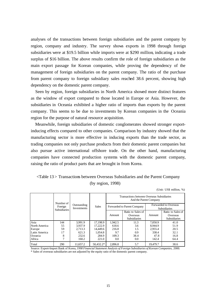analyses of the transactions between foreign subsidiaries and the parent company by region, company and industry. The survey shows exports in 1998 through foreign subsidiaries were at \$19.5 billion while imports were at \$290 million, indicating a trade surplus of \$16 billion. The above results confirm the role of foreign subsidiaries as the main export passage for Korean companies, while proving the dependency of the management of foreign subsidiaries on the parent company. The ratio of the purchase from parent company to foreign subsidiary sales reached 38.6 percent, showing high dependency on the domestic parent company.

 Seen by region, foreign subsidiaries in North America showed more distinct features as the window of export compared to those located in Europe or Asia. However, the subsidiaries in Oceania exhibited a higher ratio of imports than exports by the parent company. This seems to be due to investments by Korean companies in the Oceania region for the purpose of natural resource acquisition.

 Meanwhile, foreign subsidiaries of domestic conglomerates showed stronger exportinducing effects compared to other companies. Comparison by industry showed that the manufacturing sector is more effective in inducing exports than the trade sector, as trading companies not only purchase products from their domestic parent companies but also pursue active international offshore trade. On the other hand, manufacturing companies have connected production systems with the domestic parent company, raising the ratio of product parts that are brought in from Korea.

# <Table 13 > Transactions between Overseas Subsidiaries and the Parent Company (by region, 1998)

(Unit: US\$ million, %)

|               |                                             |                                   | <b>Sales</b> | Transactions between Overseas Subsidiaries<br>And the Parent Company |                             |                                              |                   |  |  |
|---------------|---------------------------------------------|-----------------------------------|--------------|----------------------------------------------------------------------|-----------------------------|----------------------------------------------|-------------------|--|--|
|               | Number of<br>Foreign<br><b>Subsidiaries</b> | Outstanding<br><b>Investments</b> |              |                                                                      | Forwarded to Parent Company | Forwarded to Overseas<br><b>Subsidiaries</b> |                   |  |  |
|               |                                             |                                   |              |                                                                      | Ratio to Sales of           |                                              | Ratio to Sales of |  |  |
|               |                                             |                                   |              | Amount                                                               | Overseas                    | Amount                                       | Overseas          |  |  |
|               |                                             |                                   |              |                                                                      | <b>Subsidiaries</b>         |                                              | Subsidiaries      |  |  |
| Asia          | 144                                         | 3.991.9                           | 17,198.9     | 1,942.5                                                              | 11.3                        | 7,050.9                                      | 41.0              |  |  |
| North America | 55                                          | 3.937.9                           | 17.222.9     | 618.6                                                                | 3.6                         | 8.944.9                                      | 51.9              |  |  |
| Europe        | 59                                          | 2.713.3                           | 14,449.6     | 216.8                                                                | 1.5                         | 2,955.4                                      | 20.5              |  |  |
| Latin America | 17                                          | 621.3                             | 1.054.8      | 9.7                                                                  | 0.9                         | 338.4                                        | 32.1              |  |  |
| Oceania       | 8                                           | 232.6                             | 284.9        | 109.3                                                                | 38.4                        | 47.8                                         | 16.8              |  |  |
| Africa        |                                             | 160.2                             | 221.0        | 0.0                                                                  | 0.0                         | 142.4                                        | 64.4              |  |  |
| Total         | 290                                         | 11.657.2                          | 50.432.2*    | 2.896.8                                                              | 5.7                         | 19,479.7                                     | 38.6              |  |  |

Source: Export-Import Bank of Korea, *1998 Financial Statement Analysis of Foreign Subsidiaries of Korean Companies,* 2000. \* Sales of overseas subsidiaries are not adjusted by the equity ratio of the domestic parent company.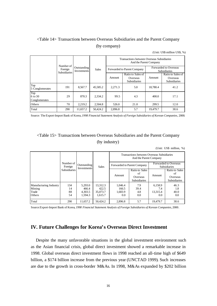# <Table 14> Transactions between Overseas Subsidiaries and the Parent Company (by company)

|  | (Unit: US\$ million US\$, %) |  |
|--|------------------------------|--|
|  |                              |  |

|                                 | Number of                      |                            |          | Transactions between Overseas Subsidiaries<br>And the Parent Company |                                               |                                       |                                               |  |  |
|---------------------------------|--------------------------------|----------------------------|----------|----------------------------------------------------------------------|-----------------------------------------------|---------------------------------------|-----------------------------------------------|--|--|
|                                 | Foreign<br><b>Subsidiaries</b> | Outstanding<br>Investments |          |                                                                      | Forwarded to Parent Company                   | Forwarded to Overseas<br>Subsidiaries |                                               |  |  |
|                                 |                                |                            |          | Amount                                                               | Ratio to Sales of<br>Overseas<br>Subsidiaries | Amount                                | Ratio to Sales of<br>Overseas<br>Subsidiaries |  |  |
| Top<br>5 Conglomerates          | 191                            | 8.567.7                    | 45,585.2 | 2,271.3                                                              | 5.0                                           | 18.780.4                              | 41.2                                          |  |  |
| Top<br>6 to 30<br>Conglomerates | 29                             | 870.3                      | 2.334.2  | 99.5                                                                 | 4.3                                           | 400.0                                 | 17.1                                          |  |  |
| Others                          | 70                             | 2,219.2                    | 2,504.8  | 526.0                                                                | 21.0                                          | 299.5                                 | 12.0                                          |  |  |
| Total                           | 290                            | 11,657.2                   | 50,424.2 | 2,896.8                                                              | 5.7                                           | 19,479.7                              | 38.6                                          |  |  |

Source: The Export-Import Bank of Korea, *1998 Financial Statement Analysis of Foreign Subsidiaries of Korean Companies*, 2000.

# <Table 15> Transactions between Overseas Subsidiaries and the Parent Company (by industry)

(Unit: US\$ million, %)

|                                                     | Number of<br>Foreign<br><b>Subsidiaries</b> |                                        |                                             | Transactions between Overseas Subsidiaries<br>And the Parent Company |                                                  |                                              |                                                         |  |
|-----------------------------------------------------|---------------------------------------------|----------------------------------------|---------------------------------------------|----------------------------------------------------------------------|--------------------------------------------------|----------------------------------------------|---------------------------------------------------------|--|
|                                                     |                                             | Outstanding<br>Investments             | Forwarded to Parent Company<br><b>Sales</b> |                                                                      |                                                  | Forwarded to Overseas<br><b>Subsidiaries</b> |                                                         |  |
|                                                     |                                             |                                        |                                             | Amount                                                               | Ratio to Sales<br>οf<br>Overseas<br>Subsidiaries | Amount                                       | <b>Ratio to Sales</b><br>of<br>Overseas<br>Subsidiaries |  |
| Manufacturing Industry<br>Mining<br>Trade<br>Others | 134<br>14<br>88<br>54                       | 5,293.0<br>466.4<br>4,303.5<br>1.594.3 | 13,312.3<br>422.5<br>35,073.7<br>1.615.7    | 1.046.4<br>166.5<br>1.683.9<br>0.0                                   | 7.9<br>39.4<br>4.8<br>0.0                        | 6.158.9<br>7.4<br>13,315.4<br>0.0            | 46.3<br>1.8<br>40.0<br>0.0                              |  |
| Total                                               | 290                                         | 11.657.2                               | 50.424.2                                    | 2.896.8                                                              | 5.7                                              | 19,479.7                                     | 38.6                                                    |  |

Source:Export-Import Bank of Korea*, 1998 Financial Statement Analysis of Foreign Subsidiaries of Korean Companies*, 2000.

# **IV. Future Challenges for Korea's Overseas Direct Investment**

 Despite the many unfavorable situations in the global investment environment such as the Asian financial crisis, global direct investment showed a remarkable increase in 1998. Global overseas direct investment flows in 1998 reached an all-time high of \$649 billion, a \$174 billion increase from the previous year (UNCTAD 1999). Such increases are due to the growth in cross-border M&As. In 1998, M&As expanded by \$202 billion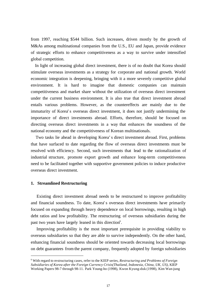from 1997, reaching \$544 billion. Such increases, driven mostly by the growth of M&As among multinational companies from the U.S., EU and Japan, provide evidence of strategic efforts to enhance competitiveness as a way to survive under intensified global competition.

 In light of increasing global direct investment, there is of no doubt that Korea should stimulate overseas investments as a strategy for corporate and national growth. World economic integration is deepening, bringing with it a more severely competitive global environment. It is hard to imagine that domestic companies can maintain competitiveness and market share without the utilization of overseas direct investment under the current business environment. It is also true that direct investment abroad entails various problems. However, as the countereffects are mainly due to the immaturity of Korea's overseas direct investment, it does not justify undermining the importance of direct investments abroad. Efforts, therefore, should be focused on directing overseas direct investments in a way that enhances the soundness of the national economy and the competitiveness of Korean multinationals.

 Two tasks lie ahead in developing Korea's direct investment abroad. First, problems that have surfaced to date regarding the flow of overseas direct investments must be resolved with efficiency. Second, such investments that lead to the rationalization of industrial structure, promote export growth and enhance long-term competitiveness need to be facilitated together with supportive government policies to induce productive overseas direct investment.

#### **1. Streamlined Restructuring**

l

 Existing direct investment abroad needs to be restructured to improve profitability and financial soundness. To date, Korea's overseas direct investments have primarily focused on expanding through heavy dependence on local borrowings, resulting in high debt ratios and low profitability. The restructuring of overseas subsidiaries during the past two years have largely leaned in this direction<sup>6</sup>.

 Improving profitability is the most important prerequisite in providing viability to overseas subsidiaries so that they are able to survive independently. On the other hand, enhancing financial soundness should be oriented towards decreasing local borrowings on debt guarantees from the parent company, frequently adopted by foreign subsidiaries

<sup>6</sup> With regard to restructuring cases, refer to the KIEP series, *Restructuring and Problems of Foreign Subsidiaries of Korea after the Foreign Currency Crisis(Thailand, Indonesia, China, UK, US)*, KIEP Working Papers 98-7 through 98-11. Park Young-ho (1998), Kwon Kyung-duk (1998), Kim Wan-jung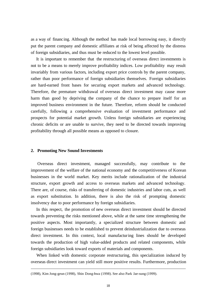as a way of financing. Although the method has made local borrowing easy, it directly put the parent company and domestic affiliates at risk of being affected by the distress of foreign subsidiaries, and thus must be reduced to the lowest level possible.

 It is important to remember that the restructuring of overseas direct investments is not to be a means to merely improve profitability indices. Low profitability may result invariably from various factors, including export price controls by the parent company, rather than poor performance of foreign subsidiaries themselves. Foreign subsidiaries are hard-earned front bases for securing export markets and advanced technology. Therefore, the premature withdrawal of overseas direct investment may cause more harm than good by depriving the company of the chance to prepare itself for an improved business environment in the future. Therefore, reform should be conducted carefully, following a comprehensive evaluation of investment performance and prospects for potential market growth. Unless foreign subsidiaries are experiencing chronic deficits or are unable to survive, they need to be directed towards improving profitability through all possible means as opposed to closure.

#### **2. Promoting New Sound Investments**

l

 Overseas direct investment, managed successfully, may contribute to the improvement of the welfare of the national economy and the competitiveness of Korean businesses in the world market. Key merits include rationalization of the industrial structure, export growth and access to overseas markets and advanced technology. There are, of course, risks of transferring of domestic industries and labor cuts, as well as export substitution. In addition, there is also the risk of prompting domestic insolvency due to poor performance by foreign subsidiaries.

 In this respect, the promotion of new overseas direct investment should be directed towards preventing the risks mentioned above, while at the same time strengthening the positive aspects. Most importantly, a specialized structure between domestic and foreign businesses needs to be established to prevent deindustrialization due to overseas direct investment. In this context, local manufacturing lines should be developed towards the production of high value-added products and related components, while foreign subsidiaries look toward exports of materials and components.

 When linked with domestic corporate restructuring, this specialization induced by overseas direct investment can yield still more positive results. Furthermore, production

<sup>(1998),</sup> Kim Jong-geun (1998), Shin Dong-hwa (1998). See also Park Jae-sung (1999).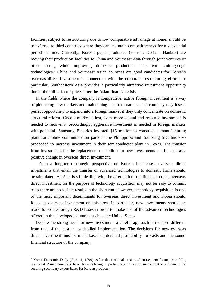facilities, subject to restructuring due to low comparative advantage at home, should be transferred to third countries where they can maintain competitiveness for a substantial period of time. Currently, Korean paper producers (Hansol, Daehan, Hankuk) are moving their production facilities to China and Southeast Asia through joint ventures or other forms, while improving domestic production lines with cutting-edge technologies.<sup>7</sup> China and Southeast Asian countries are good candidates for Korea's overseas direct investment in connection with the corporate restructuring efforts. In particular, Southeastern Asia provides a particularly attractive investment opportunity due to the fall in factor prices after the Asian financial crisis.

In the fields where the company is competitive, active foreign investment is a way of pioneering new markets and maintaining acquired markets. The company may lose a perfect opportunity to expand into a foreign market if they only concentrate on domestic structural reform. Once a market is lost, even more capital and resource investment is needed to recover it. Accordingly, aggressive investment is needed in foreign markets with potential. Samsung Electrics invested \$15 million to construct a manufacturing plant for mobile communication parts in the Philippines and Samsung SDI has also proceeded to increase investment in their semiconductor plant in Texas. The transfer from investments for the replacement of facilities to new investments can be seen as a positive change in overseas direct investment.

 From a long-term strategic perspective on Korean businesses, overseas direct investments that entail the transfer of advanced technologies to domestic firms should be stimulated. As Asia is still dealing with the aftermath of the financial crisis, overseas direct investment for the purpose of technology acquisition may not be easy to commit to as there are no visible results in the short run. However, technology acquisition is one of the most important determinants for overseas direct investment and Korea should focus its overseas investment on this area. In particular, new investments should be made to secure foreign R&D bases in order to make use of the advanced technologies offered in the developed countries such as the United States.

 Despite the strong need for new investment, a careful approach is required different from that of the past in its detailed implementation. The decisions for new overseas direct investment must be made based on detailed profitability forecasts and the sound financial structure of the company.

l

<sup>&</sup>lt;sup>7</sup> Korea Economic Daily (April 1, 1999). After the financial crisis and subsequent factor price falls, Southeast Asian countries have been offering a particularly favorable investment environment for securing secondary export bases for Korean products.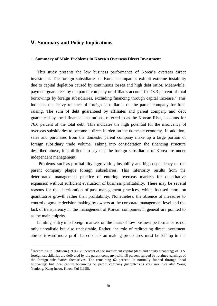#### **. Summary and Policy Implications**

#### **1. Summary of Main Problems in Korea's Overseas Direct Investment**

 This study presents the low business performance of Korea's overseas direct investment. The foreign subsidiaries of Korean companies exhibit extreme instability due to capital depletion caused by continuous losses and high debt ratios. Meanwhile, payment guarantees by the parent company or affiliates account for 73.3 percent of total borrowings by foreign subsidiaries, excluding financing through capital increase.<sup>8</sup> This indicates the heavy reliance of foreign subsidiaries on the parent company for fund raising. The sum of debt guaranteed by affiliates and parent company and debt guaranteed by local financial institutions, referred to as the Korean Risk, accounts for 76.6 percent of the total debt. This indicates the high potential for the insolvency of overseas subsidiaries to become a direct burden on the domestic economy. In addition, sales and purchases from the domestic parent company make up a large portion of foreign subsidiary trade volume. Taking into consideration the financing structure described above, it is difficult to say that the foreign subsidiaries of Korea are under independent management.

 Problems such as profitability aggravation, instability and high dependency on the parent company plague foreign subsidiaries. This inferiority results from the deteriorated management practice of entering overseas markets for quantitative expansion without sufficient evaluation of business profitability. There may be several reasons for the deterioration of past management practices, which focused more on quantitative growth rather than profitability. Nonetheless, the absence of measures to control dogmatic decision making by owners at the corporate management level and the lack of transparency in the management of Korean companies in general are pointed to as the main culprits.

 Limiting entry into foreign markets on the basis of low business performance is not only unrealistic but also undesirable. Rather, the role of redirecting direct investment abroad toward more profit-based decision making procedures must be left up to the

l

<sup>8</sup> According to Feldstein (1994), 20 percent of the investment capital (debt and equity financing) of U.S. foreign subsidiaries are delivered by the parent company, with 18 percent funded by retained earnings of the foreign subsidiaries themselves. The remaining 62 percent is normally funded through local borrowings but local capital borrowing on parent company guarantees is very rare. See also Wang Yunjong, Kang Insoo, Kwon Yul (1998).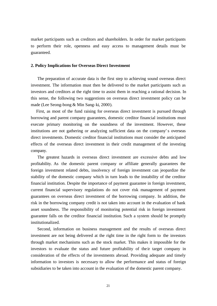market participants such as creditors and shareholders. In order for market participants to perform their role, openness and easy access to management details must be guaranteed.

#### **2. Policy Implications for Overseas Direct Investment**

 The preparation of accurate data is the first step to achieving sound overseas direct investment. The information must then be delivered to the market participants such as investors and creditors at the right time to assist them in reaching a rational decision. In this sense, the following two suggestions on overseas direct investment policy can be made (Lee Seong-bong & Min Sang-ki, 2000).

 First, as most of the fund raising for overseas direct investment is pursued through borrowing and parent company guarantees, domestic creditor financial institutions must execute primary monitoring on the soundness of the investment. However, these institutions are not gathering or analyzing sufficient data on the company's overseas direct investments. Domestic creditor financial institutions must consider the anticipated effects of the overseas direct investment in their credit management of the investing company.

 The greatest hazards in overseas direct investment are excessive debts and low profitability. As the domestic parent company or affiliate generally guarantees the foreign investment related debts, insolvency of foreign investment can jeopardize the stability of the domestic company which in turn leads to the instability of the creditor financial institution. Despite the importance of payment guarantee in foreign investment, current financial supervisory regulations do not cover risk management of payment guarantees on overseas direct investment of the borrowing company. In addition, the risk in the borrowing company credit is not taken into account in the evaluation of bank asset soundness. The responsibility of monitoring potential risk in foreign investment guarantee falls on the creditor financial institution. Such a system should be promptly institutionalized.

 Second, information on business management and the results of overseas direct investment are not being delivered at the right time in the right form to the investors through market mechanisms such as the stock market. This makes it impossible for the investors to evaluate the status and future profitability of the ir target company in consideration of the effects of the investments abroad. Providing adequate and timely information to investors is necessary to allow the performance and status of foreign subsidiaries to be taken into account in the evaluation of the domestic parent company.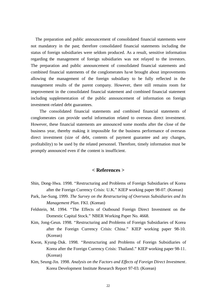The preparation and public announcement of consolidated financial statements were not mandatory in the past; therefore consolidated financial statements including the status of foreign subsidiaries were seldom produced. As a result, sensitive information regarding the management of foreign subsidiaries was not relayed to the investors. The preparation and public announcement of consolidated financial statements and combined financial statements of the conglomerates have brought about improvements allowing the management of the foreign subsidiary to be fully reflected in the management results of the parent company. However, there still remains room for improvement in the consolidated financial statement and combined financial statement including supplementation of the public announcement of information on foreign investment-related debt guarantees.

 The consolidated financial statements and combined financial statements of conglomerates can provide useful information related to overseas direct investment. However, these financial statements are announced some months after the close of the business year, thereby making it impossible for the business performance of overseas direct investment (size of debt, contents of payment guarantee and any changes, profitability) to be used by the related personnel. Therefore, timely information must be promptly announced even if the content is insufficient.

#### **< References >**

- Shin, Dong-Hwa. 1998. "Restructuring and Problems of Foreign Subsidiaries of Korea after the Foreign Currency Crisis: U.K." KIEP working paper 98-07. (Korean)
- Park, Jae-Sung. 1999. *The Survey on the Restructuring of Overseas Subsidiaries and Its Management Plan*. FKI. (Korean)
- Feldstein, M. 1994. "The Effects of Outbound Foreign Direct Investment on the Domestic Capital Stock." NBER Working Paper No. 4668.
- Kim, Jong-Geun. 1998. "Restructuring and Problems of Foreign Subsidiaries of Korea after the Foreign Currency Crisis: China." KIEP working paper 98-10. (Korean)
- Kwon, Kyung-Duk. 1998. "Restructuring and Problems of Foreign Subsidiaries of Korea after the Foreign Currency Crisis: Thailand." KIEP working paper 98-11. (Korean)
- Kim, Seung-Jin. 1998. *Analysis on the Factors and Effects of Foreign Direct Investment*. Korea Development Institute Research Report 97-03. (Korean)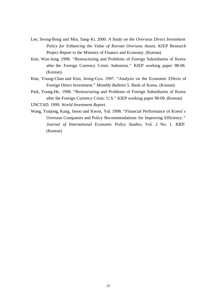- Lee, Seong-Bong and Min, Sang-Ki. 2000. *A Study on the Overseas Direct Investment Policy for Enhancing the Value of Korean Overseas Assets.* KIEP Research Project Report to the Ministry of Finance and Economy. (Korean)
- Kim, Wan-Jung. 1998. "Restructuring and Problems of Foreign Subsidiaries of Korea after the Foreign Currency Crisis: Indonesia." KIEP working paper 98-08. (Korean)
- Kim, Young-Chan and Kim, Jeong-Gyu. 1997. "Analysis on the Economic Effects of Foreign Direct Investment." *Monthly Bulletin* 5. Bank of Korea. (Korean)
- Park, Young-Ho. 1998. "Restructuring and Problems of Foreign Subsidiaries of Korea after the Foreign Currency Crisis: U.S." KIEP working paper 98-09. (Korean)
- UNCTAD. 1999. *World Investment Report*.
- Wang, Yunjong, Kang, Insoo and Kwon, Yul. 1998. "Financial Performance of Korea's Overseas Companies and Policy Recommendations for Improving Efficiency." *Journal of International Economic Policy Studies,* Vol. 2 No. 1. KIEP. (Korean)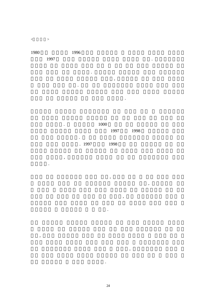$\langle$ 

상태이다.

1980 년대 후반부터 1996 년까지 전반적으로 증가세를 보여왔던 해외직접  $1997$ 

평가와 향후 발전방향에 대한 검토가 필요하다.

경영행태가 원인이라고 있다.

근이 보장되어야 것으로 사료된다.

 $. 1000$ 지법인의 경영성과를 외환위기 전후인 1997 년과 1998 현지법인의 재무제 표를 토대로 분석하였다. 결과 우리나라 해외직접투자의 경영성과는 매우  $1997$  1998

 $\,$ ,

 $\,$ 

 $\overline{\phantom{a}}$ 

 $\,$ ,  $\,$ 

 $\,$ 

 $\overline{\phantom{a}}$ 

하거나 미루고 있기 때문이다. 외환위기를 경험하면서 과거의 경제개발전략  $\overline{\phantom{a}}$ 

관심이 쏠리고 있다. 특히 최근 기업구조조정이 국내뿐만 아니라 해외부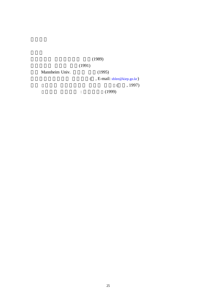